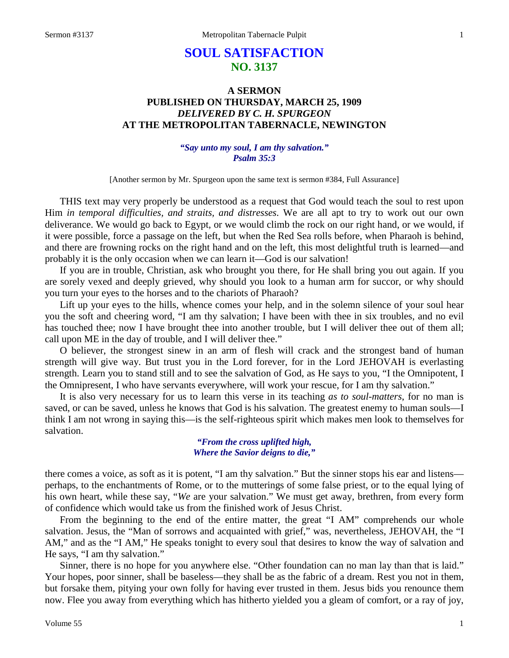# **SOUL SATISFACTION NO. 3137**

## **A SERMON PUBLISHED ON THURSDAY, MARCH 25, 1909** *DELIVERED BY C. H. SPURGEON* **AT THE METROPOLITAN TABERNACLE, NEWINGTON**

### *"Say unto my soul, I am thy salvation." Psalm 35:3*

[Another sermon by Mr. Spurgeon upon the same text is sermon #384, Full Assurance]

THIS text may very properly be understood as a request that God would teach the soul to rest upon Him *in temporal difficulties, and straits, and distresses*. We are all apt to try to work out our own deliverance. We would go back to Egypt, or we would climb the rock on our right hand, or we would, if it were possible, force a passage on the left, but when the Red Sea rolls before, when Pharaoh is behind, and there are frowning rocks on the right hand and on the left, this most delightful truth is learned—and probably it is the only occasion when we can learn it—God is our salvation!

If you are in trouble, Christian, ask who brought you there, for He shall bring you out again. If you are sorely vexed and deeply grieved, why should you look to a human arm for succor, or why should you turn your eyes to the horses and to the chariots of Pharaoh?

Lift up your eyes to the hills, whence comes your help, and in the solemn silence of your soul hear you the soft and cheering word, "I am thy salvation; I have been with thee in six troubles, and no evil has touched thee; now I have brought thee into another trouble, but I will deliver thee out of them all; call upon ME in the day of trouble, and I will deliver thee."

O believer, the strongest sinew in an arm of flesh will crack and the strongest band of human strength will give way. But trust you in the Lord forever, for in the Lord JEHOVAH is everlasting strength. Learn you to stand still and to see the salvation of God, as He says to you, "I the Omnipotent, I the Omnipresent, I who have servants everywhere, will work your rescue, for I am thy salvation."

It is also very necessary for us to learn this verse in its teaching *as to soul-matters*, for no man is saved, or can be saved, unless he knows that God is his salvation. The greatest enemy to human souls—I think I am not wrong in saying this—is the self-righteous spirit which makes men look to themselves for salvation.

#### *"From the cross uplifted high, Where the Savior deigns to die,"*

there comes a voice, as soft as it is potent, "I am thy salvation." But the sinner stops his ear and listens perhaps, to the enchantments of Rome, or to the mutterings of some false priest, or to the equal lying of his own heart, while these say, "*We* are your salvation." We must get away, brethren, from every form of confidence which would take us from the finished work of Jesus Christ.

From the beginning to the end of the entire matter, the great "I AM" comprehends our whole salvation. Jesus, the "Man of sorrows and acquainted with grief," was, nevertheless, JEHOVAH, the "I AM," and as the "I AM," He speaks tonight to every soul that desires to know the way of salvation and He says, "I am thy salvation."

Sinner, there is no hope for you anywhere else. "Other foundation can no man lay than that is laid." Your hopes, poor sinner, shall be baseless—they shall be as the fabric of a dream. Rest you not in them, but forsake them, pitying your own folly for having ever trusted in them. Jesus bids you renounce them now. Flee you away from everything which has hitherto yielded you a gleam of comfort, or a ray of joy,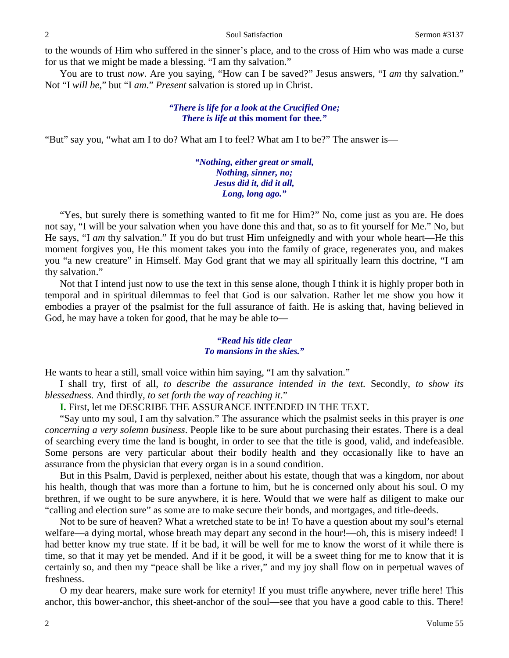to the wounds of Him who suffered in the sinner's place, and to the cross of Him who was made a curse for us that we might be made a blessing. "I am thy salvation."

You are to trust *now*. Are you saying, "How can I be saved?" Jesus answers, "I am thy salvation." Not "I *will be*," but "I *am*." *Present* salvation is stored up in Christ.

#### *"There is life for a look at the Crucified One; There is life at* **this moment for thee***."*

"But" say you, "what am I to do? What am I to feel? What am I to be?" The answer is—

*"Nothing, either great or small, Nothing, sinner, no; Jesus did it, did it all, Long, long ago."*

"Yes, but surely there is something wanted to fit me for Him?" No, come just as you are. He does not say, "I will be your salvation when you have done this and that, so as to fit yourself for Me." No, but He says, "I *am* thy *s*alvation." If you do but trust Him unfeignedly and with your whole heart—He this moment forgives you, He this moment takes you into the family of grace, regenerates you, and makes you "a new creature" in Himself. May God grant that we may all spiritually learn this doctrine, "I am thy salvation."

Not that I intend just now to use the text in this sense alone, though I think it is highly proper both in temporal and in spiritual dilemmas to feel that God is our salvation. Rather let me show you how it embodies a prayer of the psalmist for the full assurance of faith. He is asking that, having believed in God, he may have a token for good, that he may be able to—

## *"Read his title clear To mansions in the skies."*

He wants to hear a still, small voice within him saying, "I am thy salvation."

I shall try, first of all, *to describe the assurance intended in the text.* Secondly, *to show its blessedness.* And thirdly, *to set forth the way of reaching it*."

**I.** First, let me DESCRIBE THE ASSURANCE INTENDED IN THE TEXT.

"Say unto my soul, I am thy salvation." The assurance which the psalmist seeks in this prayer is *one concerning a very solemn business*. People like to be sure about purchasing their estates. There is a deal of searching every time the land is bought, in order to see that the title is good, valid, and indefeasible. Some persons are very particular about their bodily health and they occasionally like to have an assurance from the physician that every organ is in a sound condition.

But in this Psalm, David is perplexed, neither about his estate, though that was a kingdom, nor about his health, though that was more than a fortune to him, but he is concerned only about his soul. O my brethren, if we ought to be sure anywhere, it is here. Would that we were half as diligent to make our "calling and election sure" as some are to make secure their bonds, and mortgages, and title-deeds.

Not to be sure of heaven? What a wretched state to be in! To have a question about my soul's eternal welfare—a dying mortal, whose breath may depart any second in the hour!—oh, this is misery indeed! I had better know my true state. If it be bad, it will be well for me to know the worst of it while there is time, so that it may yet be mended. And if it be good, it will be a sweet thing for me to know that it is certainly so, and then my "peace shall be like a river," and my joy shall flow on in perpetual waves of freshness.

O my dear hearers, make sure work for eternity! If you must trifle anywhere, never trifle here! This anchor, this bower-anchor, this sheet-anchor of the soul—see that you have a good cable to this. There!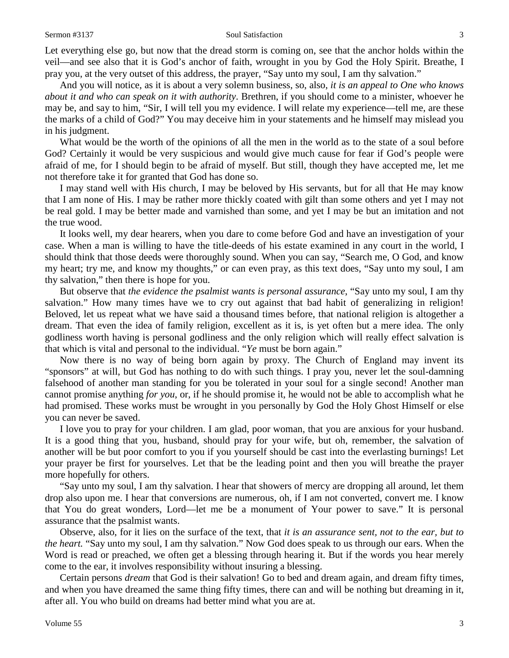#### Sermon #3137 Soul Satisfaction 3

Let everything else go, but now that the dread storm is coming on, see that the anchor holds within the veil—and see also that it is God's anchor of faith, wrought in you by God the Holy Spirit. Breathe, I pray you, at the very outset of this address, the prayer, "Say unto my soul, I am thy salvation."

And you will notice, as it is about a very solemn business, so, also, *it is an appeal to One who knows about it and who can speak on it with authority*. Brethren, if you should come to a minister, whoever he may be, and say to him, "Sir, I will tell you my evidence. I will relate my experience—tell me, are these the marks of a child of God?" You may deceive him in your statements and he himself may mislead you in his judgment.

What would be the worth of the opinions of all the men in the world as to the state of a soul before God? Certainly it would be very suspicious and would give much cause for fear if God's people were afraid of me, for I should begin to be afraid of myself. But still, though they have accepted me, let me not therefore take it for granted that God has done so.

I may stand well with His church, I may be beloved by His servants, but for all that He may know that I am none of His. I may be rather more thickly coated with gilt than some others and yet I may not be real gold. I may be better made and varnished than some, and yet I may be but an imitation and not the true wood.

It looks well, my dear hearers, when you dare to come before God and have an investigation of your case. When a man is willing to have the title-deeds of his estate examined in any court in the world, I should think that those deeds were thoroughly sound. When you can say, "Search me, O God, and know my heart; try me, and know my thoughts," or can even pray, as this text does, "Say unto my soul, I am thy salvation," then there is hope for you.

But observe that *the evidence the psalmist wants is personal assurance*, "Say unto my soul, I am thy salvation." How many times have we to cry out against that bad habit of generalizing in religion! Beloved, let us repeat what we have said a thousand times before, that national religion is altogether a dream. That even the idea of family religion, excellent as it is, is yet often but a mere idea. The only godliness worth having is personal godliness and the only religion which will really effect salvation is that which is vital and personal to the individual. "*Ye* must be born again."

Now there is no way of being born again by proxy. The Church of England may invent its "sponsors" at will, but God has nothing to do with such things. I pray you, never let the soul-damning falsehood of another man standing for you be tolerated in your soul for a single second! Another man cannot promise anything *for you*, or, if he should promise it, he would not be able to accomplish what he had promised. These works must be wrought in you personally by God the Holy Ghost Himself or else you can never be saved.

I love you to pray for your children. I am glad, poor woman, that you are anxious for your husband. It is a good thing that you, husband, should pray for your wife, but oh, remember, the salvation of another will be but poor comfort to you if you yourself should be cast into the everlasting burnings! Let your prayer be first for yourselves. Let that be the leading point and then you will breathe the prayer more hopefully for others.

"Say unto my soul, I am thy salvation. I hear that showers of mercy are dropping all around, let them drop also upon me. I hear that conversions are numerous, oh, if I am not converted, convert me. I know that You do great wonders, Lord—let me be a monument of Your power to save." It is personal assurance that the psalmist wants.

Observe, also, for it lies on the surface of the text, that *it is an assurance sent, not to the ear, but to the heart.* "Say unto my soul, I am thy salvation." Now God does speak to us through our ears. When the Word is read or preached, we often get a blessing through hearing it. But if the words you hear merely come to the ear, it involves responsibility without insuring a blessing.

Certain persons *dream* that God is their salvation! Go to bed and dream again, and dream fifty times, and when you have dreamed the same thing fifty times, there can and will be nothing but dreaming in it, after all. You who build on dreams had better mind what you are at.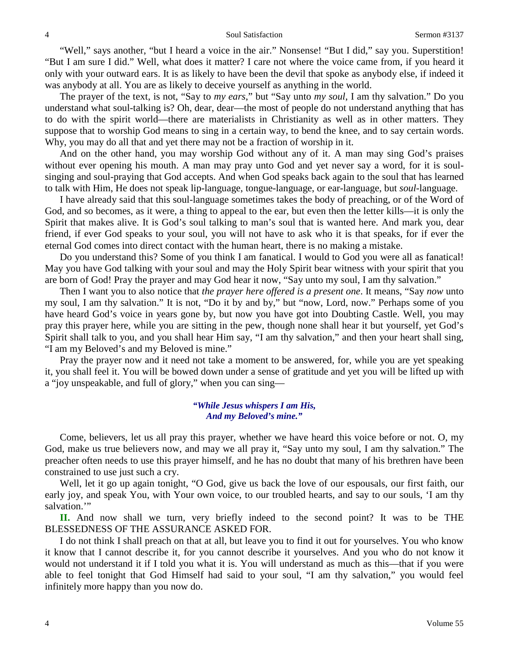"Well," says another, "but I heard a voice in the air." Nonsense! "But I did," say you. Superstition! "But I am sure I did." Well, what does it matter? I care not where the voice came from, if you heard it only with your outward ears. It is as likely to have been the devil that spoke as anybody else, if indeed it was anybody at all. You are as likely to deceive yourself as anything in the world.

The prayer of the text, is not, "Say to *my ears*," but "Say unto *my soul*, I am thy salvation." Do you understand what soul-talking is? Oh, dear, dear—the most of people do not understand anything that has to do with the spirit world—there are materialists in Christianity as well as in other matters. They suppose that to worship God means to sing in a certain way, to bend the knee, and to say certain words. Why, you may do all that and yet there may not be a fraction of worship in it.

And on the other hand, you may worship God without any of it. A man may sing God's praises without ever opening his mouth. A man may pray unto God and yet never say a word, for it is soulsinging and soul-praying that God accepts. And when God speaks back again to the soul that has learned to talk with Him, He does not speak lip-language, tongue-language, or ear-language, but *soul*-language.

I have already said that this soul-language sometimes takes the body of preaching, or of the Word of God, and so becomes, as it were, a thing to appeal to the ear, but even then the letter kills—it is only the Spirit that makes alive. It is God's soul talking to man's soul that is wanted here. And mark you, dear friend, if ever God speaks to your soul, you will not have to ask who it is that speaks, for if ever the eternal God comes into direct contact with the human heart, there is no making a mistake.

Do you understand this? Some of you think I am fanatical. I would to God you were all as fanatical! May you have God talking with your soul and may the Holy Spirit bear witness with your spirit that you are born of God! Pray the prayer and may God hear it now, "Say unto my soul, I am thy salvation."

Then I want you to also notice that *the prayer here offered is a present one*. It means, "Say *now* unto my soul, I am thy salvation." It is not, "Do it by and by," but "now, Lord, now." Perhaps some of you have heard God's voice in years gone by, but now you have got into Doubting Castle. Well, you may pray this prayer here, while you are sitting in the pew, though none shall hear it but yourself, yet God's Spirit shall talk to you, and you shall hear Him say, "I am thy salvation," and then your heart shall sing, "I am my Beloved's and my Beloved is mine."

Pray the prayer now and it need not take a moment to be answered, for, while you are yet speaking it, you shall feel it. You will be bowed down under a sense of gratitude and yet you will be lifted up with a "joy unspeakable, and full of glory," when you can sing—

#### *"While Jesus whispers I am His, And my Beloved's mine."*

Come, believers, let us all pray this prayer, whether we have heard this voice before or not. O, my God, make us true believers now, and may we all pray it, "Say unto my soul, I am thy salvation." The preacher often needs to use this prayer himself, and he has no doubt that many of his brethren have been constrained to use just such a cry.

Well, let it go up again tonight, "O God, give us back the love of our espousals, our first faith, our early joy, and speak You, with Your own voice, to our troubled hearts, and say to our souls, 'I am thy salvation."

**II.** And now shall we turn, very briefly indeed to the second point? It was to be THE BLESSEDNESS OF THE ASSURANCE ASKED FOR.

I do not think I shall preach on that at all, but leave you to find it out for yourselves. You who know it know that I cannot describe it, for you cannot describe it yourselves. And you who do not know it would not understand it if I told you what it is. You will understand as much as this—that if you were able to feel tonight that God Himself had said to your soul, "I am thy salvation," you would feel infinitely more happy than you now do.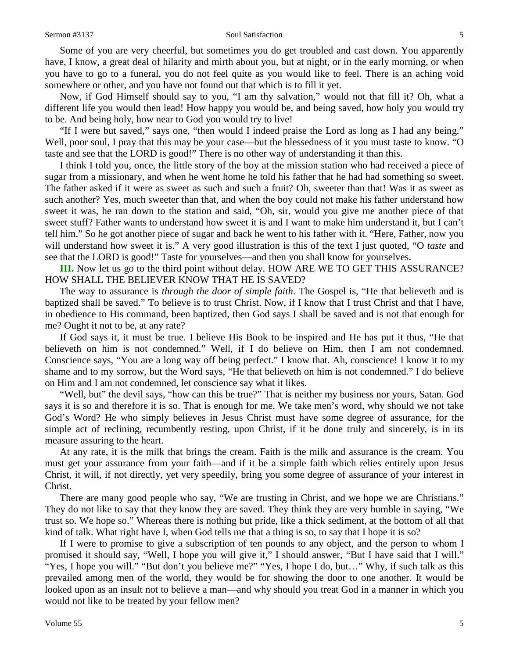#### Sermon #3137 Soul Satisfaction 5

Some of you are very cheerful, but sometimes you do get troubled and cast down. You apparently have, I know, a great deal of hilarity and mirth about you, but at night, or in the early morning, or when you have to go to a funeral, you do not feel quite as you would like to feel. There is an aching void somewhere or other, and you have not found out that which is to fill it yet.

Now, if God Himself should say to you, "I am thy salvation," would not that fill it? Oh, what a different life you would then lead! How happy you would be, and being saved, how holy you would try to be. And being holy, how near to God you would try to live!

"If I were but saved," says one, "then would I indeed praise the Lord as long as I had any being." Well, poor soul, I pray that this may be your case—but the blessedness of it you must taste to know. "O taste and see that the LORD is good!" There is no other way of understanding it than this.

I think I told you, once, the little story of the boy at the mission station who had received a piece of sugar from a missionary, and when he went home he told his father that he had had something so sweet. The father asked if it were as sweet as such and such a fruit? Oh, sweeter than that! Was it as sweet as such another? Yes, much sweeter than that, and when the boy could not make his father understand how sweet it was, he ran down to the station and said, "Oh, sir, would you give me another piece of that sweet stuff? Father wants to understand how sweet it is and I want to make him understand it, but I can't tell him." So he got another piece of sugar and back he went to his father with it. "Here, Father, now you will understand how sweet it is." A very good illustration is this of the text I just quoted, "O *taste* and see that the LORD is good!" Taste for yourselves—and then you shall know for yourselves.

**III.** Now let us go to the third point without delay. HOW ARE WE TO GET THIS ASSURANCE? HOW SHALL THE BELIEVER KNOW THAT HE IS SAVED?

The way to assurance is *through the door of simple faith*. The Gospel is, "He that believeth and is baptized shall be saved." To believe is to trust Christ. Now, if I know that I trust Christ and that I have, in obedience to His command, been baptized, then God says I shall be saved and is not that enough for me? Ought it not to be, at any rate?

If God says it, it must be true. I believe His Book to be inspired and He has put it thus, "He that believeth on him is not condemned." Well, if I do believe on Him, then I am not condemned. Conscience says, "You are a long way off being perfect." I know that. Ah, conscience! I know it to my shame and to my sorrow, but the Word says, "He that believeth on him is not condemned." I do believe on Him and I am not condemned, let conscience say what it likes.

"Well, but" the devil says, "how can this be true?" That is neither my business nor yours, Satan. God says it is so and therefore it is so. That is enough for me. We take men's word, why should we not take God's Word? He who simply believes in Jesus Christ must have some degree of assurance, for the simple act of reclining, recumbently resting, upon Christ, if it be done truly and sincerely, is in its measure assuring to the heart.

At any rate, it is the milk that brings the cream. Faith is the milk and assurance is the cream. You must get your assurance from your faith—and if it be a simple faith which relies entirely upon Jesus Christ, it will, if not directly, yet very speedily, bring you some degree of assurance of your interest in Christ.

There are many good people who say, "We are trusting in Christ, and we hope we are Christians." They do not like to say that they know they are saved. They think they are very humble in saying, "We trust so. We hope so." Whereas there is nothing but pride, like a thick sediment, at the bottom of all that kind of talk. What right have I, when God tells me that a thing is so, to say that I hope it is so?

If I were to promise to give a subscription of ten pounds to any object, and the person to whom I promised it should say, "Well, I hope you will give it," I should answer, "But I have said that I will." "Yes, I hope you will." "But don't you believe me?" "Yes, I hope I do, but…" Why, if such talk as this prevailed among men of the world, they would be for showing the door to one another. It would be looked upon as an insult not to believe a man—and why should you treat God in a manner in which you would not like to be treated by your fellow men?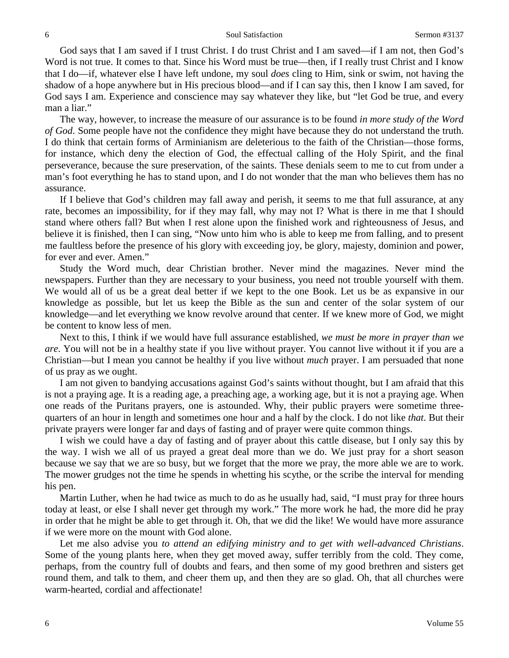God says that I am saved if I trust Christ. I do trust Christ and I am saved—if I am not, then God's Word is not true. It comes to that. Since his Word must be true—then, if I really trust Christ and I know that I do—if, whatever else I have left undone, my soul *does* cling to Him, sink or swim, not having the shadow of a hope anywhere but in His precious blood—and if I can say this, then I know I am saved, for God says I am. Experience and conscience may say whatever they like, but "let God be true, and every man a liar."

The way, however, to increase the measure of our assurance is to be found *in more study of the Word of God*. Some people have not the confidence they might have because they do not understand the truth. I do think that certain forms of Arminianism are deleterious to the faith of the Christian—those forms, for instance, which deny the election of God, the effectual calling of the Holy Spirit, and the final perseverance, because the sure preservation, of the saints. These denials seem to me to cut from under a man's foot everything he has to stand upon, and I do not wonder that the man who believes them has no assurance.

If I believe that God's children may fall away and perish, it seems to me that full assurance, at any rate, becomes an impossibility, for if they may fall, why may not I? What is there in me that I should stand where others fall? But when I rest alone upon the finished work and righteousness of Jesus, and believe it is finished, then I can sing, "Now unto him who is able to keep me from falling, and to present me faultless before the presence of his glory with exceeding joy, be glory, majesty, dominion and power, for ever and ever. Amen."

Study the Word much, dear Christian brother. Never mind the magazines. Never mind the newspapers. Further than they are necessary to your business, you need not trouble yourself with them. We would all of us be a great deal better if we kept to the one Book. Let us be as expansive in our knowledge as possible, but let us keep the Bible as the sun and center of the solar system of our knowledge—and let everything we know revolve around that center. If we knew more of God, we might be content to know less of men.

Next to this, I think if we would have full assurance established, *we must be more in prayer than we are*. You will not be in a healthy state if you live without prayer. You cannot live without it if you are a Christian—but I mean you cannot be healthy if you live without *much* prayer. I am persuaded that none of us pray as we ought.

I am not given to bandying accusations against God's saints without thought, but I am afraid that this is not a praying age. It is a reading age, a preaching age, a working age, but it is not a praying age. When one reads of the Puritans prayers, one is astounded. Why, their public prayers were sometime threequarters of an hour in length and sometimes one hour and a half by the clock. I do not like *that*. But their private prayers were longer far and days of fasting and of prayer were quite common things.

I wish we could have a day of fasting and of prayer about this cattle disease, but I only say this by the way. I wish we all of us prayed a great deal more than we do. We just pray for a short season because we say that we are so busy, but we forget that the more we pray, the more able we are to work. The mower grudges not the time he spends in whetting his scythe, or the scribe the interval for mending his pen.

Martin Luther, when he had twice as much to do as he usually had, said, "I must pray for three hours today at least, or else I shall never get through my work." The more work he had, the more did he pray in order that he might be able to get through it. Oh, that we did the like! We would have more assurance if we were more on the mount with God alone.

Let me also advise you *to attend an edifying ministry and to get with well-advanced Christians*. Some of the young plants here, when they get moved away, suffer terribly from the cold. They come, perhaps, from the country full of doubts and fears, and then some of my good brethren and sisters get round them, and talk to them, and cheer them up, and then they are so glad. Oh, that all churches were warm-hearted, cordial and affectionate!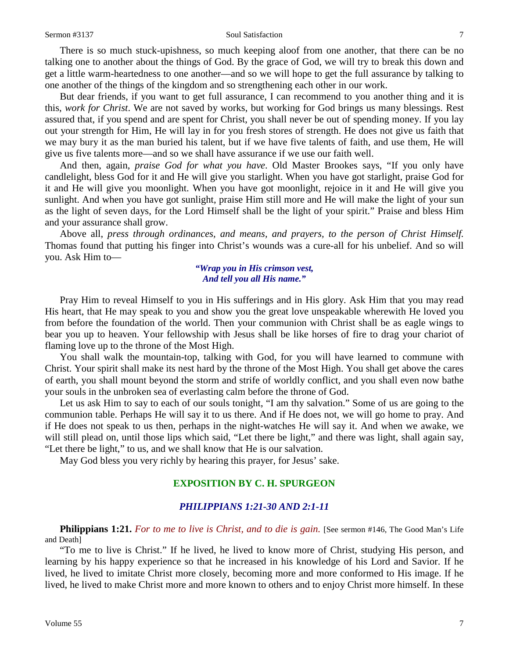#### Sermon #3137 Soul Satisfaction 7

There is so much stuck-upishness, so much keeping aloof from one another, that there can be no talking one to another about the things of God. By the grace of God, we will try to break this down and get a little warm-heartedness to one another—and so we will hope to get the full assurance by talking to one another of the things of the kingdom and so strengthening each other in our work.

But dear friends, if you want to get full assurance, I can recommend to you another thing and it is this, *work for Christ*. We are not saved by works, but working for God brings us many blessings. Rest assured that, if you spend and are spent for Christ, you shall never be out of spending money. If you lay out your strength for Him, He will lay in for you fresh stores of strength. He does not give us faith that we may bury it as the man buried his talent, but if we have five talents of faith, and use them, He will give us five talents more—and so we shall have assurance if we use our faith well.

And then, again, *praise God for what you have*. Old Master Brookes says, "If you only have candlelight, bless God for it and He will give you starlight. When you have got starlight, praise God for it and He will give you moonlight. When you have got moonlight, rejoice in it and He will give you sunlight. And when you have got sunlight, praise Him still more and He will make the light of your sun as the light of seven days, for the Lord Himself shall be the light of your spirit." Praise and bless Him and your assurance shall grow.

Above all, *press through ordinances, and means, and prayers, to the person of Christ Himself.* Thomas found that putting his finger into Christ's wounds was a cure-all for his unbelief. And so will you. Ask Him to—

#### *"Wrap you in His crimson vest, And tell you all His name."*

Pray Him to reveal Himself to you in His sufferings and in His glory. Ask Him that you may read His heart, that He may speak to you and show you the great love unspeakable wherewith He loved you from before the foundation of the world. Then your communion with Christ shall be as eagle wings to bear you up to heaven. Your fellowship with Jesus shall be like horses of fire to drag your chariot of flaming love up to the throne of the Most High.

You shall walk the mountain-top, talking with God, for you will have learned to commune with Christ. Your spirit shall make its nest hard by the throne of the Most High. You shall get above the cares of earth, you shall mount beyond the storm and strife of worldly conflict, and you shall even now bathe your souls in the unbroken sea of everlasting calm before the throne of God.

Let us ask Him to say to each of our souls tonight, "I am thy salvation." Some of us are going to the communion table. Perhaps He will say it to us there. And if He does not, we will go home to pray. And if He does not speak to us then, perhaps in the night-watches He will say it. And when we awake, we will still plead on, until those lips which said, "Let there be light," and there was light, shall again say, "Let there be light," to us, and we shall know that He is our salvation.

May God bless you very richly by hearing this prayer, for Jesus' sake.

## **EXPOSITION BY C. H. SPURGEON**

## *PHILIPPIANS 1:21-30 AND 2:1-11*

**Philippians 1:21.** For to me to live is Christ, and to die is gain. [See sermon #146, The Good Man's Life and Death]

"To me to live is Christ." If he lived, he lived to know more of Christ, studying His person, and learning by his happy experience so that he increased in his knowledge of his Lord and Savior. If he lived, he lived to imitate Christ more closely, becoming more and more conformed to His image. If he lived, he lived to make Christ more and more known to others and to enjoy Christ more himself. In these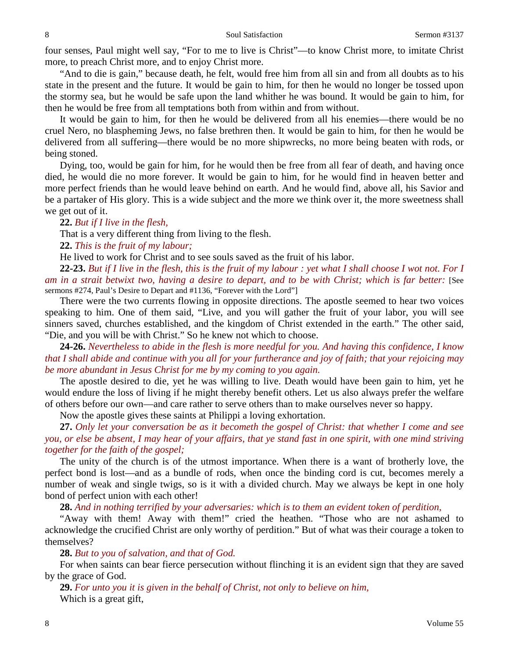four senses, Paul might well say, "For to me to live is Christ"—to know Christ more, to imitate Christ more, to preach Christ more, and to enjoy Christ more.

"And to die is gain," because death, he felt, would free him from all sin and from all doubts as to his state in the present and the future. It would be gain to him, for then he would no longer be tossed upon the stormy sea, but he would be safe upon the land whither he was bound. It would be gain to him, for then he would be free from all temptations both from within and from without.

It would be gain to him, for then he would be delivered from all his enemies—there would be no cruel Nero, no blaspheming Jews, no false brethren then. It would be gain to him, for then he would be delivered from all suffering—there would be no more shipwrecks, no more being beaten with rods, or being stoned.

Dying, too, would be gain for him, for he would then be free from all fear of death, and having once died, he would die no more forever. It would be gain to him, for he would find in heaven better and more perfect friends than he would leave behind on earth. And he would find, above all, his Savior and be a partaker of His glory. This is a wide subject and the more we think over it, the more sweetness shall we get out of it.

**22.** *But if I live in the flesh,*

That is a very different thing from living to the flesh.

**22.** *This is the fruit of my labour;*

He lived to work for Christ and to see souls saved as the fruit of his labor.

**22-23.** *But if I live in the flesh, this is the fruit of my labour : yet what I shall choose I wot not. For I am in a strait betwixt two, having a desire to depart, and to be with Christ; which is far better:* [See sermons #274, Paul's Desire to Depart and #1136, "Forever with the Lord"]

There were the two currents flowing in opposite directions. The apostle seemed to hear two voices speaking to him. One of them said, "Live, and you will gather the fruit of your labor, you will see sinners saved, churches established, and the kingdom of Christ extended in the earth." The other said, "Die, and you will be with Christ." So he knew not which to choose.

**24-26.** *Nevertheless to abide in the flesh is more needful for you. And having this confidence, I know that I shall abide and continue with you all for your furtherance and joy of faith; that your rejoicing may be more abundant in Jesus Christ for me by my coming to you again.*

The apostle desired to die, yet he was willing to live. Death would have been gain to him, yet he would endure the loss of living if he might thereby benefit others. Let us also always prefer the welfare of others before our own—and care rather to serve others than to make ourselves never so happy.

Now the apostle gives these saints at Philippi a loving exhortation.

**27.** *Only let your conversation be as it becometh the gospel of Christ: that whether I come and see you, or else be absent, I may hear of your affairs, that ye stand fast in one spirit, with one mind striving together for the faith of the gospel;*

The unity of the church is of the utmost importance. When there is a want of brotherly love, the perfect bond is lost—and as a bundle of rods, when once the binding cord is cut, becomes merely a number of weak and single twigs, so is it with a divided church. May we always be kept in one holy bond of perfect union with each other!

**28.** *And in nothing terrified by your adversaries: which is to them an evident token of perdition,*

"Away with them! Away with them!" cried the heathen. "Those who are not ashamed to acknowledge the crucified Christ are only worthy of perdition." But of what was their courage a token to themselves?

**28.** *But to you of salvation, and that of God.*

For when saints can bear fierce persecution without flinching it is an evident sign that they are saved by the grace of God.

**29.** *For unto you it is given in the behalf of Christ, not only to believe on him,* Which is a great gift,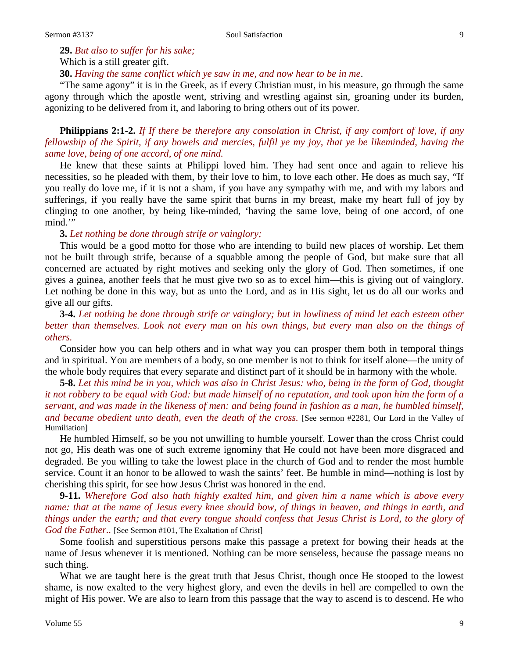**29.** *But also to suffer for his sake;* Which is a still greater gift. **30.** *Having the same conflict which ye saw in me, and now hear to be in me*.

"The same agony" it is in the Greek, as if every Christian must, in his measure, go through the same agony through which the apostle went, striving and wrestling against sin, groaning under its burden, agonizing to be delivered from it, and laboring to bring others out of its power.

**Philippians 2:1-2.** *If If there be therefore any consolation in Christ, if any comfort of love, if any fellowship of the Spirit, if any bowels and mercies, fulfil ye my joy, that ye be likeminded, having the same love, being of one accord, of one mind.*

He knew that these saints at Philippi loved him. They had sent once and again to relieve his necessities, so he pleaded with them, by their love to him, to love each other. He does as much say, "If you really do love me, if it is not a sham, if you have any sympathy with me, and with my labors and sufferings, if you really have the same spirit that burns in my breast, make my heart full of joy by clinging to one another, by being like-minded, 'having the same love, being of one accord, of one mind."

## **3.** *Let nothing be done through strife or vainglory;*

This would be a good motto for those who are intending to build new places of worship. Let them not be built through strife, because of a squabble among the people of God, but make sure that all concerned are actuated by right motives and seeking only the glory of God. Then sometimes, if one gives a guinea, another feels that he must give two so as to excel him—this is giving out of vainglory. Let nothing be done in this way, but as unto the Lord, and as in His sight, let us do all our works and give all our gifts.

**3-4.** *Let nothing be done through strife or vainglory; but in lowliness of mind let each esteem other better than themselves. Look not every man on his own things, but every man also on the things of others.*

Consider how you can help others and in what way you can prosper them both in temporal things and in spiritual. You are members of a body, so one member is not to think for itself alone—the unity of the whole body requires that every separate and distinct part of it should be in harmony with the whole.

**5-8.** *Let this mind be in you, which was also in Christ Jesus: who, being in the form of God, thought it not robbery to be equal with God: but made himself of no reputation, and took upon him the form of a servant, and was made in the likeness of men: and being found in fashion as a man, he humbled himself, and became obedient unto death, even the death of the cross.* [See sermon #2281, Our Lord in the Valley of Humiliation]

He humbled Himself, so be you not unwilling to humble yourself. Lower than the cross Christ could not go, His death was one of such extreme ignominy that He could not have been more disgraced and degraded. Be you willing to take the lowest place in the church of God and to render the most humble service. Count it an honor to be allowed to wash the saints' feet. Be humble in mind—nothing is lost by cherishing this spirit, for see how Jesus Christ was honored in the end.

**9-11.** *Wherefore God also hath highly exalted him, and given him a name which is above every name: that at the name of Jesus every knee should bow, of things in heaven, and things in earth, and things under the earth; and that every tongue should confess that Jesus Christ is Lord, to the glory of God the Father..* [See Sermon #101, The Exaltation of Christ]

Some foolish and superstitious persons make this passage a pretext for bowing their heads at the name of Jesus whenever it is mentioned. Nothing can be more senseless, because the passage means no such thing.

What we are taught here is the great truth that Jesus Christ, though once He stooped to the lowest shame, is now exalted to the very highest glory, and even the devils in hell are compelled to own the might of His power. We are also to learn from this passage that the way to ascend is to descend. He who